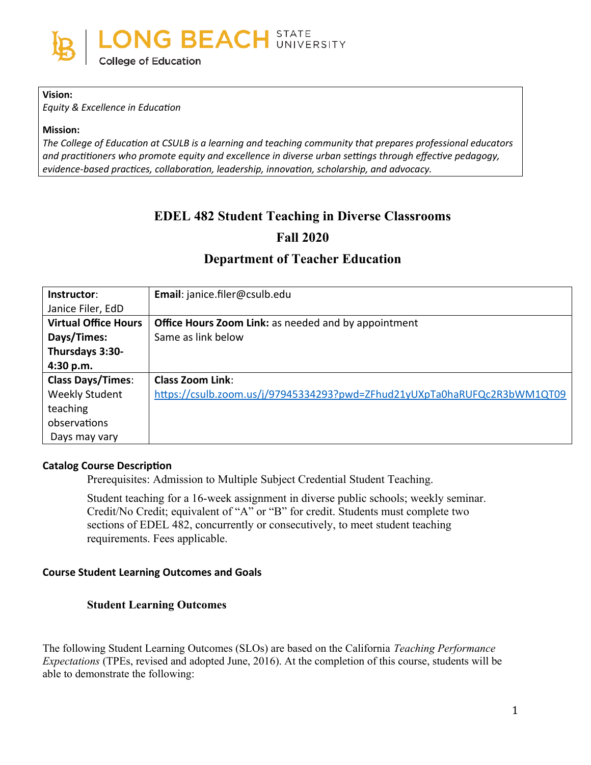

#### **Vision:**

*Equity & Excellence in Education*

#### **Mission:**

*The College of Education at CSULB is a learning and teaching community that prepares professional educators and practitioners who promote equity and excellence in diverse urban settings through effective pedagogy, evidence-based practices, collaboration, leadership, innovation, scholarship, and advocacy.*

# **EDEL 482 Student Teaching in Diverse Classrooms Fall 2020**

# **Department of Teacher Education**

| Instructor:                 | Email: janice.filer@csulb.edu                                            |
|-----------------------------|--------------------------------------------------------------------------|
| Janice Filer, EdD           |                                                                          |
| <b>Virtual Office Hours</b> | <b>Office Hours Zoom Link: as needed and by appointment</b>              |
| Days/Times:                 | Same as link below                                                       |
| Thursdays 3:30-             |                                                                          |
| 4:30 p.m.                   |                                                                          |
| <b>Class Days/Times:</b>    | <b>Class Zoom Link:</b>                                                  |
| <b>Weekly Student</b>       | https://csulb.zoom.us/j/97945334293?pwd=ZFhud21yUXpTa0haRUFQc2R3bWM1QT09 |
| teaching                    |                                                                          |
| observations                |                                                                          |
| Days may vary               |                                                                          |

#### **Catalog Course Description**

Prerequisites: Admission to Multiple Subject Credential Student Teaching.

Student teaching for a 16-week assignment in diverse public schools; weekly seminar. Credit/No Credit; equivalent of "A" or "B" for credit. Students must complete two sections of EDEL 482, concurrently or consecutively, to meet student teaching requirements. Fees applicable.

#### **Course Student Learning Outcomes and Goals**

#### **Student Learning Outcomes**

The following Student Learning Outcomes (SLOs) are based on the California *Teaching Performance Expectations* (TPEs, revised and adopted June, 2016). At the completion of this course, students will be able to demonstrate the following: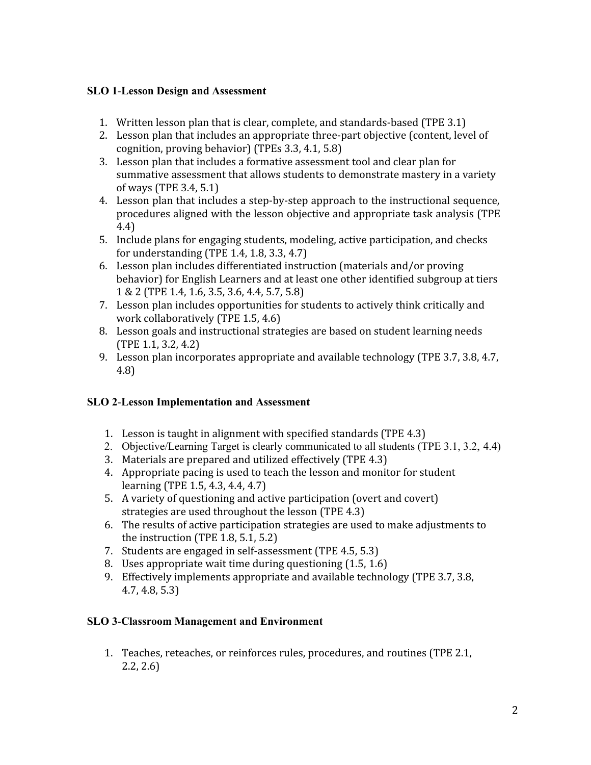# **SLO 1**-**Lesson Design and Assessment**

- 1. Written lesson plan that is clear, complete, and standards-based (TPE 3.1)
- 2. Lesson plan that includes an appropriate three-part objective (content, level of cognition, proving behavior) (TPEs 3.3, 4.1, 5.8)
- 3. Lesson plan that includes a formative assessment tool and clear plan for summative assessment that allows students to demonstrate mastery in a variety of ways (TPE 3.4, 5.1)
- 4. Lesson plan that includes a step-by-step approach to the instructional sequence, procedures aligned with the lesson objective and appropriate task analysis (TPE 4.4)
- 5. Include plans for engaging students, modeling, active participation, and checks for understanding (TPE 1.4, 1.8, 3.3, 4.7)
- 6. Lesson plan includes differentiated instruction (materials and/or proving behavior) for English Learners and at least one other identified subgroup at tiers 1 & 2 (TPE 1.4, 1.6, 3.5, 3.6, 4.4, 5.7, 5.8)
- 7. Lesson plan includes opportunities for students to actively think critically and work collaboratively (TPE 1.5, 4.6)
- 8. Lesson goals and instructional strategies are based on student learning needs (TPE 1.1, 3.2, 4.2)
- 9. Lesson plan incorporates appropriate and available technology (TPE 3.7, 3.8, 4.7, 4.8)

# **SLO 2**-**Lesson Implementation and Assessment**

- 1. Lesson is taught in alignment with specified standards (TPE 4.3)
- 2. Objective/Learning Target is clearly communicated to all students (TPE 3.1, 3.2, 4.4)
- 3. Materials are prepared and utilized effectively (TPE 4.3)
- 4. Appropriate pacing is used to teach the lesson and monitor for student learning (TPE 1.5, 4.3, 4.4, 4.7)
- 5. A variety of questioning and active participation (overt and covert) strategies are used throughout the lesson (TPE 4.3)
- 6. The results of active participation strategies are used to make adjustments to the instruction (TPE 1.8, 5.1, 5.2)
- 7. Students are engaged in self-assessment (TPE 4.5, 5.3)
- 8. Uses appropriate wait time during questioning (1.5, 1.6)
- 9. Effectively implements appropriate and available technology (TPE 3.7, 3.8, 4.7, 4.8, 5.3)

# **SLO 3**-**Classroom Management and Environment**

1. Teaches, reteaches, or reinforces rules, procedures, and routines (TPE 2.1, 2.2, 2.6)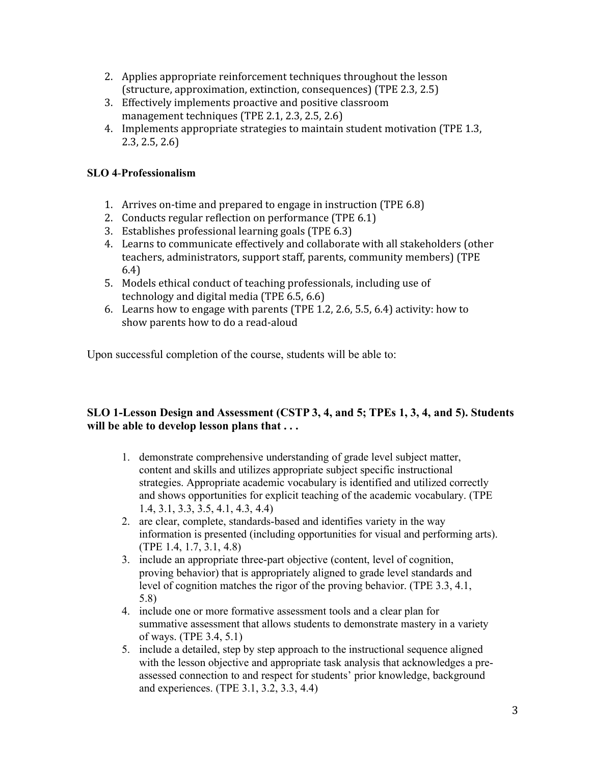- 2. Applies appropriate reinforcement techniques throughout the lesson (structure, approximation, extinction, consequences) (TPE 2.3, 2.5)
- 3. Effectively implements proactive and positive classroom management techniques (TPE 2.1, 2.3, 2.5, 2.6)
- 4. Implements appropriate strategies to maintain student motivation (TPE 1.3, 2.3, 2.5, 2.6)

# **SLO 4**-**Professionalism**

- 1. Arrives on-time and prepared to engage in instruction (TPE 6.8)
- 2. Conducts regular reflection on performance (TPE 6.1)
- 3. Establishes professional learning goals (TPE 6.3)
- 4. Learns to communicate effectively and collaborate with all stakeholders (other teachers, administrators, support staff, parents, community members) (TPE 6.4)
- 5. Models ethical conduct of teaching professionals, including use of technology and digital media (TPE 6.5, 6.6)
- 6. Learns how to engage with parents (TPE 1.2, 2.6, 5.5, 6.4) activity: how to show parents how to do a read-aloud

Upon successful completion of the course, students will be able to:

# **SLO 1-Lesson Design and Assessment (CSTP 3, 4, and 5; TPEs 1, 3, 4, and 5). Students will be able to develop lesson plans that . . .**

- 1. demonstrate comprehensive understanding of grade level subject matter, content and skills and utilizes appropriate subject specific instructional strategies. Appropriate academic vocabulary is identified and utilized correctly and shows opportunities for explicit teaching of the academic vocabulary. (TPE 1.4, 3.1, 3.3, 3.5, 4.1, 4.3, 4.4)
- 2. are clear, complete, standards-based and identifies variety in the way information is presented (including opportunities for visual and performing arts). (TPE 1.4, 1.7, 3.1, 4.8)
- 3. include an appropriate three-part objective (content, level of cognition, proving behavior) that is appropriately aligned to grade level standards and level of cognition matches the rigor of the proving behavior. (TPE 3.3, 4.1, 5.8)
- 4. include one or more formative assessment tools and a clear plan for summative assessment that allows students to demonstrate mastery in a variety of ways. (TPE 3.4, 5.1)
- 5. include a detailed, step by step approach to the instructional sequence aligned with the lesson objective and appropriate task analysis that acknowledges a preassessed connection to and respect for students' prior knowledge, background and experiences. (TPE 3.1, 3.2, 3.3, 4.4)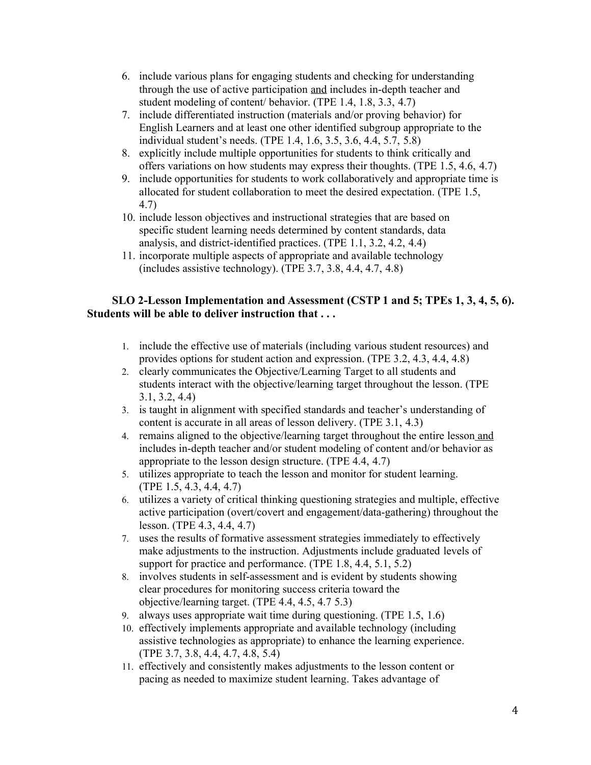- 6. include various plans for engaging students and checking for understanding through the use of active participation and includes in-depth teacher and student modeling of content/ behavior. (TPE 1.4, 1.8, 3.3, 4.7)
- 7. include differentiated instruction (materials and/or proving behavior) for English Learners and at least one other identified subgroup appropriate to the individual student's needs. (TPE 1.4, 1.6, 3.5, 3.6, 4.4, 5.7, 5.8)
- 8. explicitly include multiple opportunities for students to think critically and offers variations on how students may express their thoughts. (TPE 1.5, 4.6, 4.7)
- 9. include opportunities for students to work collaboratively and appropriate time is allocated for student collaboration to meet the desired expectation. (TPE 1.5, 4.7)
- 10. include lesson objectives and instructional strategies that are based on specific student learning needs determined by content standards, data analysis, and district-identified practices. (TPE 1.1, 3.2, 4.2, 4.4)
- 11. incorporate multiple aspects of appropriate and available technology (includes assistive technology). (TPE 3.7, 3.8, 4.4, 4.7, 4.8)

# **SLO 2-Lesson Implementation and Assessment (CSTP 1 and 5; TPEs 1, 3, 4, 5, 6). Students will be able to deliver instruction that . . .**

- 1. include the effective use of materials (including various student resources) and provides options for student action and expression. (TPE 3.2, 4.3, 4.4, 4.8)
- 2. clearly communicates the Objective/Learning Target to all students and students interact with the objective/learning target throughout the lesson. (TPE 3.1, 3.2, 4.4)
- 3. is taught in alignment with specified standards and teacher's understanding of content is accurate in all areas of lesson delivery. (TPE 3.1, 4.3)
- 4. remains aligned to the objective/learning target throughout the entire lesson and includes in-depth teacher and/or student modeling of content and/or behavior as appropriate to the lesson design structure. (TPE 4.4, 4.7)
- 5. utilizes appropriate to teach the lesson and monitor for student learning. (TPE 1.5, 4.3, 4.4, 4.7)
- 6. utilizes a variety of critical thinking questioning strategies and multiple, effective active participation (overt/covert and engagement/data-gathering) throughout the lesson. (TPE 4.3, 4.4, 4.7)
- 7. uses the results of formative assessment strategies immediately to effectively make adjustments to the instruction. Adjustments include graduated levels of support for practice and performance. (TPE 1.8, 4.4, 5.1, 5.2)
- 8. involves students in self-assessment and is evident by students showing clear procedures for monitoring success criteria toward the objective/learning target. (TPE 4.4, 4.5, 4.7 5.3)
- 9. always uses appropriate wait time during questioning. (TPE 1.5, 1.6)
- 10. effectively implements appropriate and available technology (including assistive technologies as appropriate) to enhance the learning experience. (TPE 3.7, 3.8, 4.4, 4.7, 4.8, 5.4)
- 11. effectively and consistently makes adjustments to the lesson content or pacing as needed to maximize student learning. Takes advantage of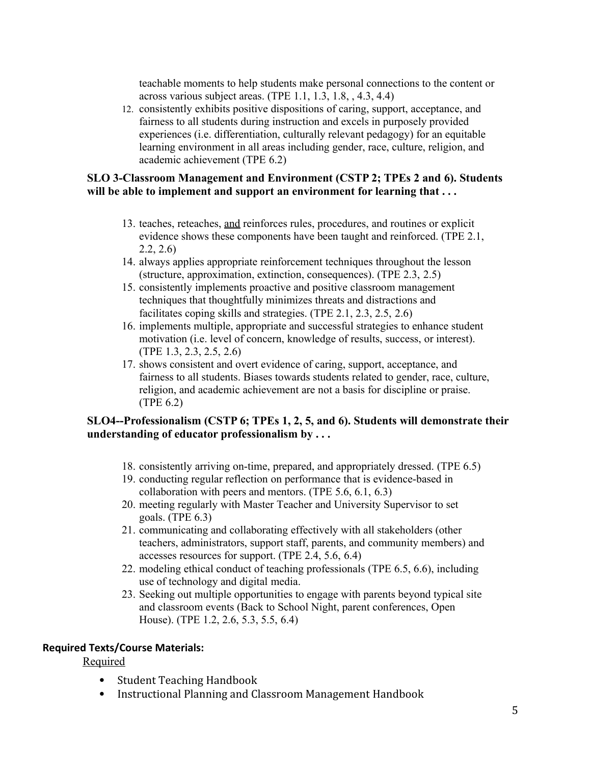teachable moments to help students make personal connections to the content or across various subject areas. (TPE 1.1, 1.3, 1.8, , 4.3, 4.4)

12. consistently exhibits positive dispositions of caring, support, acceptance, and fairness to all students during instruction and excels in purposely provided experiences (i.e. differentiation, culturally relevant pedagogy) for an equitable learning environment in all areas including gender, race, culture, religion, and academic achievement (TPE 6.2)

### **SLO 3-Classroom Management and Environment (CSTP 2; TPEs 2 and 6). Students will be able to implement and support an environment for learning that . . .**

- 13. teaches, reteaches, and reinforces rules, procedures, and routines or explicit evidence shows these components have been taught and reinforced. (TPE 2.1, 2.2, 2.6)
- 14. always applies appropriate reinforcement techniques throughout the lesson (structure, approximation, extinction, consequences). (TPE 2.3, 2.5)
- 15. consistently implements proactive and positive classroom management techniques that thoughtfully minimizes threats and distractions and facilitates coping skills and strategies. (TPE 2.1, 2.3, 2.5, 2.6)
- 16. implements multiple, appropriate and successful strategies to enhance student motivation (i.e. level of concern, knowledge of results, success, or interest). (TPE 1.3, 2.3, 2.5, 2.6)
- 17. shows consistent and overt evidence of caring, support, acceptance, and fairness to all students. Biases towards students related to gender, race, culture, religion, and academic achievement are not a basis for discipline or praise. (TPE 6.2)

### **SLO4--Professionalism (CSTP 6; TPEs 1, 2, 5, and 6). Students will demonstrate their understanding of educator professionalism by . . .**

- 18. consistently arriving on-time, prepared, and appropriately dressed. (TPE 6.5)
- 19. conducting regular reflection on performance that is evidence-based in collaboration with peers and mentors. (TPE 5.6, 6.1, 6.3)
- 20. meeting regularly with Master Teacher and University Supervisor to set goals. (TPE 6.3)
- 21. communicating and collaborating effectively with all stakeholders (other teachers, administrators, support staff, parents, and community members) and accesses resources for support. (TPE 2.4, 5.6, 6.4)
- 22. modeling ethical conduct of teaching professionals (TPE 6.5, 6.6), including use of technology and digital media.
- 23. Seeking out multiple opportunities to engage with parents beyond typical site and classroom events (Back to School Night, parent conferences, Open House). (TPE 1.2, 2.6, 5.3, 5.5, 6.4)

# **Required Texts/Course Materials:**

Required

- Student Teaching Handbook
- Instructional Planning and Classroom Management Handbook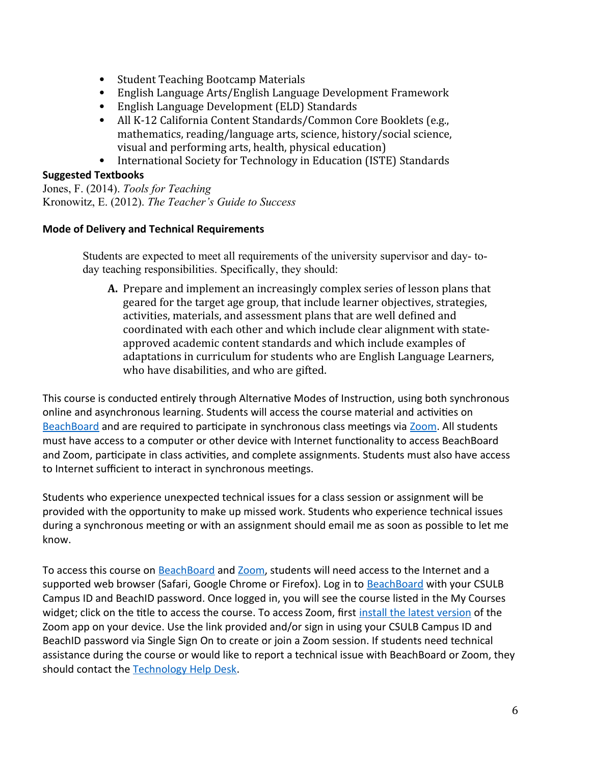- Student Teaching Bootcamp Materials
- English Language Arts/English Language Development Framework
- English Language Development (ELD) Standards
- All K-12 California Content Standards/Common Core Booklets (e.g., mathematics, reading/language arts, science, history/social science, visual and performing arts, health, physical education)
- International Society for Technology in Education (ISTE) Standards

# **Suggested Textbooks**

Jones, F. (2014). *Tools for Teaching* Kronowitz, E. (2012). *The Teacher's Guide to Success*

# **Mode of Delivery and Technical Requirements**

Students are expected to meet all requirements of the university supervisor and day- today teaching responsibilities. Specifically, they should:

**A.** Prepare and implement an increasingly complex series of lesson plans that geared for the target age group, that include learner objectives, strategies, activities, materials, and assessment plans that are well defined and coordinated with each other and which include clear alignment with stateapproved academic content standards and which include examples of adaptations in curriculum for students who are English Language Learners, who have disabilities, and who are gifted.

This course is conducted entirely through Alternative Modes of Instruction, using both synchronous online and asynchronous learning. Students will access the course material and activities on [BeachBoard](https://bbcsulb.desire2learn.com/d2l/home) and are required to participate in synchronous class meetings via [Zoom.](https://csulb.zoom.us/meeting) All students must have access to a computer or other device with Internet functionality to access BeachBoard and Zoom, participate in class activities, and complete assignments. Students must also have access to Internet sufficient to interact in synchronous meetings.

Students who experience unexpected technical issues for a class session or assignment will be provided with the opportunity to make up missed work. Students who experience technical issues during a synchronous meeting or with an assignment should email me as soon as possible to let me know.

To access this course on BeachBoard and [Zoom](https://csulb.zoom.us/meeting), students will need access to the Internet and a supported web browser (Safari, Google Chrome or Firefox). Log in to [BeachBoard](https://bbcsulb.desire2learn.com/) with your CSULB Campus ID and BeachID password. Once logged in, you will see the course listed in the My Courses widget; click on the title to access the course. To access Zoom, first [install the latest version](https://zoom.us/download) of the Zoom app on your device. Use the link provided and/or sign in using your CSULB Campus ID and BeachID password via Single Sign On to create or join a Zoom session. If students need technical assistance during the course or would like to report a technical issue with BeachBoard or Zoom, they should contact the [Technology Help Desk](https://www.csulb.edu/academic-technology-services/academic-technology-resources-for-students).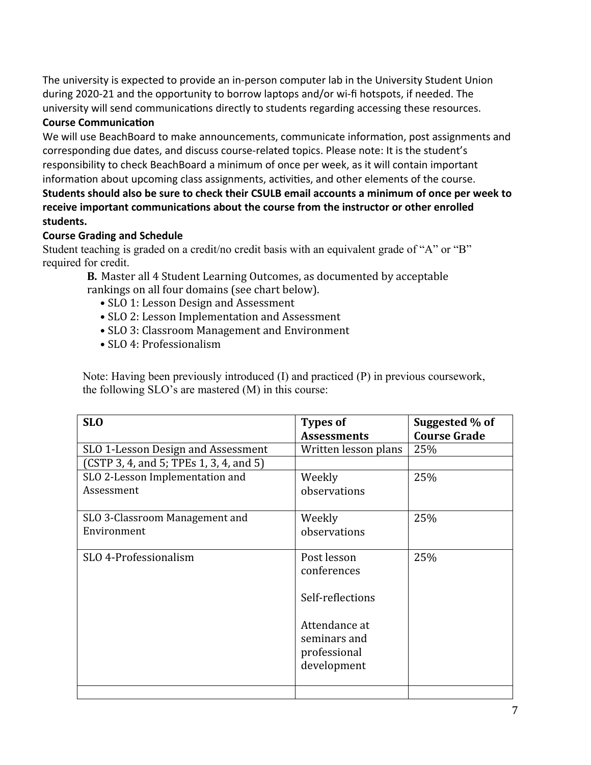The university is expected to provide an in-person computer lab in the University Student Union during 2020-21 and the opportunity to borrow laptops and/or wi-fi hotspots, if needed. The university will send communications directly to students regarding accessing these resources.

# **Course Communication**

We will use BeachBoard to make announcements, communicate information, post assignments and corresponding due dates, and discuss course-related topics. Please note: It is the student's responsibility to check BeachBoard a minimum of once per week, as it will contain important information about upcoming class assignments, activities, and other elements of the course.

# **Students should also be sure to check their CSULB email accounts a minimum of once per week to receive important communications about the course from the instructor or other enrolled students.**

# **Course Grading and Schedule**

Student teaching is graded on a credit/no credit basis with an equivalent grade of "A" or "B" required for credit.

**B.** Master all 4 Student Learning Outcomes, as documented by acceptable rankings on all four domains (see chart below).

- SLO 1: Lesson Design and Assessment
- SLO 2: Lesson Implementation and Assessment
- SLO 3: Classroom Management and Environment
- SLO 4: Professionalism

Note: Having been previously introduced (I) and practiced (P) in previous coursework, the following SLO's are mastered (M) in this course:

| <b>SLO</b>                              | <b>Types of</b><br><b>Assessments</b> | Suggested % of<br><b>Course Grade</b> |
|-----------------------------------------|---------------------------------------|---------------------------------------|
| SLO 1-Lesson Design and Assessment      | Written lesson plans                  | 25%                                   |
| (CSTP 3, 4, and 5; TPEs 1, 3, 4, and 5) |                                       |                                       |
| SLO 2-Lesson Implementation and         | Weekly                                | 25%                                   |
| Assessment                              | observations                          |                                       |
| SLO 3-Classroom Management and          | Weekly                                | 25%                                   |
| Environment                             | observations                          |                                       |
| SLO 4-Professionalism                   | Post lesson<br>conferences            | 25%                                   |
|                                         |                                       |                                       |
|                                         | Self-reflections                      |                                       |
|                                         | Attendance at                         |                                       |
|                                         | seminars and                          |                                       |
|                                         | professional                          |                                       |
|                                         | development                           |                                       |
|                                         |                                       |                                       |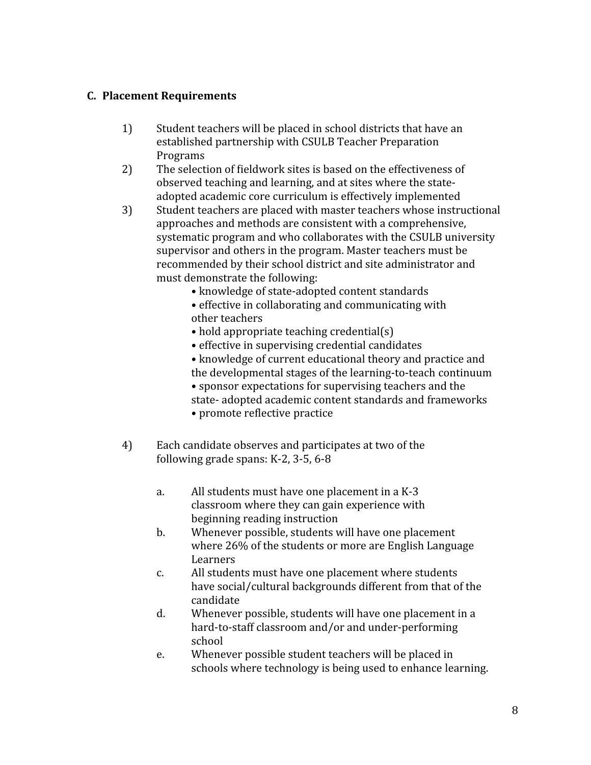# **C. Placement Requirements**

- 1) Student teachers will be placed in school districts that have an established partnership with CSULB Teacher Preparation Programs
- 2) The selection of fieldwork sites is based on the effectiveness of observed teaching and learning, and at sites where the stateadopted academic core curriculum is effectively implemented
- 3) Student teachers are placed with master teachers whose instructional approaches and methods are consistent with a comprehensive, systematic program and who collaborates with the CSULB university supervisor and others in the program. Master teachers must be recommended by their school district and site administrator and must demonstrate the following:
	- knowledge of state-adopted content standards
	- effective in collaborating and communicating with other teachers
	- hold appropriate teaching credential(s)
	- effective in supervising credential candidates
	- knowledge of current educational theory and practice and the developmental stages of the learning-to-teach continuum
	- sponsor expectations for supervising teachers and the
	- state- adopted academic content standards and frameworks
	- promote reflective practice
- 4) Each candidate observes and participates at two of the following grade spans: K-2, 3-5, 6-8
	- a. All students must have one placement in a K-3 classroom where they can gain experience with beginning reading instruction
	- b. Whenever possible, students will have one placement where 26% of the students or more are English Language **Learners**
	- c. All students must have one placement where students have social/cultural backgrounds different from that of the candidate
	- d. Whenever possible, students will have one placement in a hard-to-staff classroom and/or and under-performing school
	- e. Whenever possible student teachers will be placed in schools where technology is being used to enhance learning.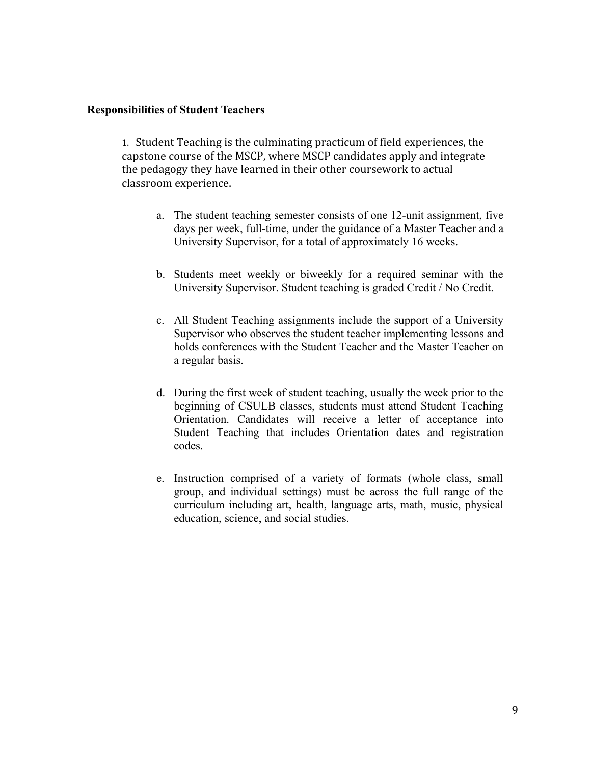#### **Responsibilities of Student Teachers**

1. Student Teaching is the culminating practicum of field experiences, the capstone course of the MSCP, where MSCP candidates apply and integrate the pedagogy they have learned in their other coursework to actual classroom experience.

- a. The student teaching semester consists of one 12-unit assignment, five days per week, full-time, under the guidance of a Master Teacher and a University Supervisor, for a total of approximately 16 weeks.
- b. Students meet weekly or biweekly for a required seminar with the University Supervisor. Student teaching is graded Credit / No Credit.
- c. All Student Teaching assignments include the support of a University Supervisor who observes the student teacher implementing lessons and holds conferences with the Student Teacher and the Master Teacher on a regular basis.
- d. During the first week of student teaching, usually the week prior to the beginning of CSULB classes, students must attend Student Teaching Orientation. Candidates will receive a letter of acceptance into Student Teaching that includes Orientation dates and registration codes.
- e. Instruction comprised of a variety of formats (whole class, small group, and individual settings) must be across the full range of the curriculum including art, health, language arts, math, music, physical education, science, and social studies.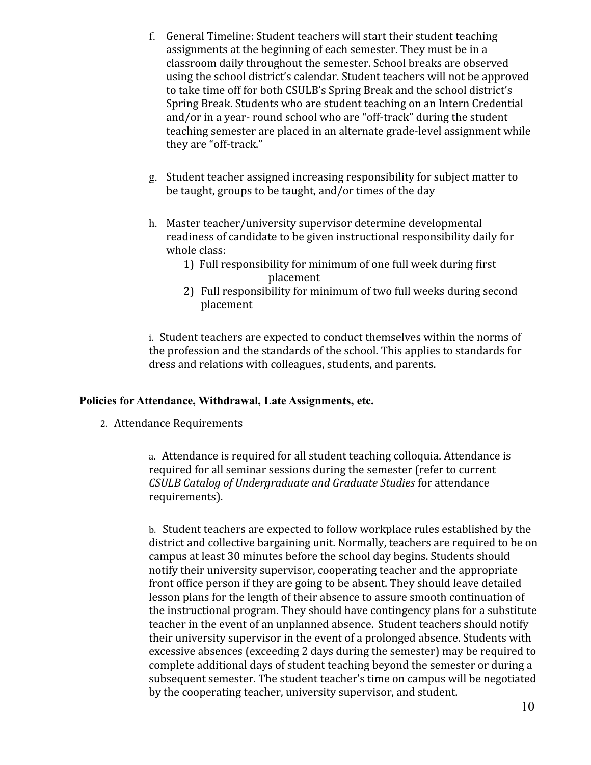- f. General Timeline: Student teachers will start their student teaching assignments at the beginning of each semester. They must be in a classroom daily throughout the semester. School breaks are observed using the school district's calendar. Student teachers will not be approved to take time off for both CSULB's Spring Break and the school district's Spring Break. Students who are student teaching on an Intern Credential and/or in a year- round school who are "off-track" during the student teaching semester are placed in an alternate grade-level assignment while they are "off-track."
- g. Student teacher assigned increasing responsibility for subject matter to be taught, groups to be taught, and/or times of the day
- h. Master teacher/university supervisor determine developmental readiness of candidate to be given instructional responsibility daily for whole class:
	- 1) Full responsibility for minimum of one full week during first placement
	- 2) Full responsibility for minimum of two full weeks during second placement

i. Student teachers are expected to conduct themselves within the norms of the profession and the standards of the school. This applies to standards for dress and relations with colleagues, students, and parents.

#### **Policies for Attendance, Withdrawal, Late Assignments, etc.**

2. Attendance Requirements

a. Attendance is required for all student teaching colloquia. Attendance is required for all seminar sessions during the semester (refer to current *CSULB Catalog of Undergraduate and Graduate Studies* for attendance requirements).

b. Student teachers are expected to follow workplace rules established by the district and collective bargaining unit. Normally, teachers are required to be on campus at least 30 minutes before the school day begins. Students should notify their university supervisor, cooperating teacher and the appropriate front office person if they are going to be absent. They should leave detailed lesson plans for the length of their absence to assure smooth continuation of the instructional program. They should have contingency plans for a substitute teacher in the event of an unplanned absence. Student teachers should notify their university supervisor in the event of a prolonged absence. Students with excessive absences (exceeding 2 days during the semester) may be required to complete additional days of student teaching beyond the semester or during a subsequent semester. The student teacher's time on campus will be negotiated by the cooperating teacher, university supervisor, and student.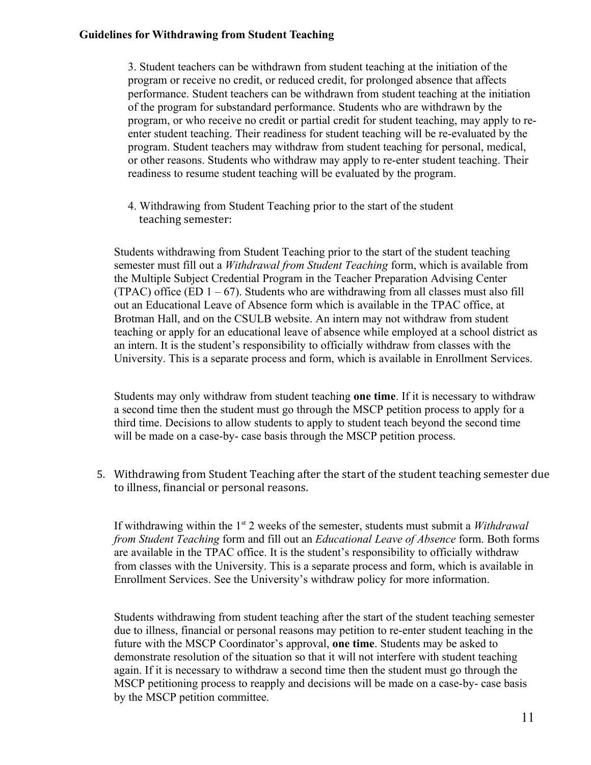#### **Guidelines for Withdrawing from Student Teaching**

3. Student teachers can be withdrawn from student teaching at the initiation of the program or receive no credit, or reduced credit, for prolonged absence that affects performance. Student teachers can be withdrawn from student teaching at the initiation of the program for substandard performance. Students who are withdrawn by the program, or who receive no credit or partial credit for student teaching, may apply to reenter student teaching. Their readiness for student teaching will be re-evaluated by the program. Student teachers may withdraw from student teaching for personal, medical, or other reasons. Students who withdraw may apply to re-enter student teaching. Their readiness to resume student teaching will be evaluated by the program.

4. Withdrawing from Student Teaching prior to the start of the student teaching semester:

Students withdrawing from Student Teaching prior to the start of the student teaching semester must fill out a *Withdrawal from Student Teaching* form, which is available from the Multiple Subject Credential Program in the Teacher Preparation Advising Center (TPAC) office (ED  $1 - 67$ ). Students who are withdrawing from all classes must also fill out an Educational Leave of Absence form which is available in the TPAC office, at Brotman Hall, and on the CSULB website. An intern may not withdraw from student teaching or apply for an educational leave of absence while employed at a school district as an intern. It is the student's responsibility to officially withdraw from classes with the University. This is a separate process and form, which is available in Enrollment Services.

Students may only withdraw from student teaching **one time**. If it is necessary to withdraw a second time then the student must go through the MSCP petition process to apply for a third time. Decisions to allow students to apply to student teach beyond the second time will be made on a case-by- case basis through the MSCP petition process.

5. Withdrawing from Student Teaching after the start of the student teaching semester due to illness, financial or personal reasons.

If withdrawing within the 1<sup>st</sup> 2 weeks of the semester, students must submit a *Withdrawal from Student Teaching* form and fill out an *Educational Leave of Absence* form. Both forms are available in the TPAC office. It is the student's responsibility to officially withdraw from classes with the University. This is a separate process and form, which is available in Enrollment Services. See the University's withdraw policy for more information.

Students withdrawing from student teaching after the start of the student teaching semester due to illness, financial or personal reasons may petition to re-enter student teaching in the future with the MSCP Coordinator's approval, **one time**. Students may be asked to demonstrate resolution of the situation so that it will not interfere with student teaching again. If it is necessary to withdraw a second time then the student must go through the MSCP petitioning process to reapply and decisions will be made on a case-by- case basis by the MSCP petition committee.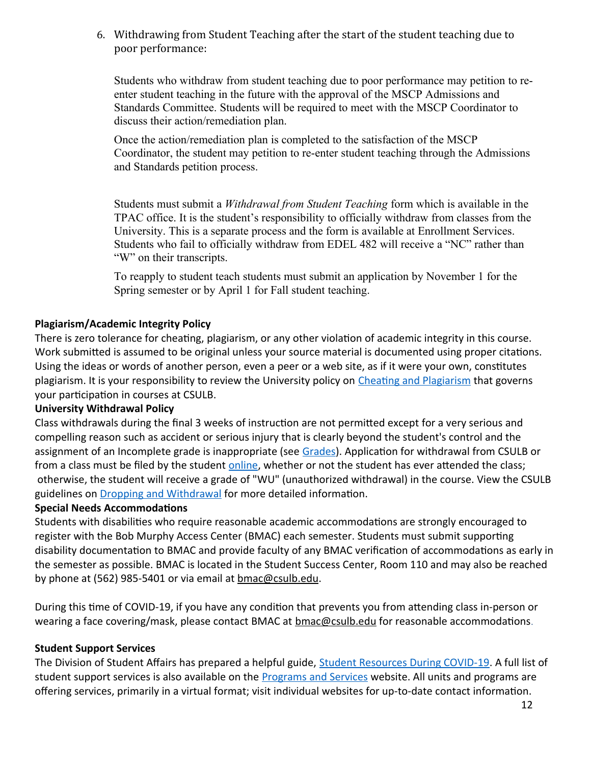6. Withdrawing from Student Teaching after the start of the student teaching due to poor performance:

Students who withdraw from student teaching due to poor performance may petition to reenter student teaching in the future with the approval of the MSCP Admissions and Standards Committee. Students will be required to meet with the MSCP Coordinator to discuss their action/remediation plan.

Once the action/remediation plan is completed to the satisfaction of the MSCP Coordinator, the student may petition to re-enter student teaching through the Admissions and Standards petition process.

Students must submit a *Withdrawal from Student Teaching* form which is available in the TPAC office. It is the student's responsibility to officially withdraw from classes from the University. This is a separate process and the form is available at Enrollment Services. Students who fail to officially withdraw from EDEL 482 will receive a "NC" rather than "W" on their transcripts.

To reapply to student teach students must submit an application by November 1 for the Spring semester or by April 1 for Fall student teaching.

# **Plagiarism/Academic Integrity Policy**

There is zero tolerance for cheating, plagiarism, or any other violation of academic integrity in this course. Work submitted is assumed to be original unless your source material is documented using proper citations. Using the ideas or words of another person, even a peer or a web site, as if it were your own, constitutes plagiarism. It is your responsibility to review the University policy on [Cheating and Plagiarism](http://catalog.csulb.edu/content.php?catoid=5&navoid=369#cheating-and-plagiarism) that governs your participation in courses at CSULB.

#### **University Withdrawal Policy**

Class withdrawals during the final 3 weeks of instruction are not permitted except for a very serious and compelling reason such as accident or serious injury that is clearly beyond the student's control and the assignment of an Incomplete grade is inappropriate (see [Grades\)](http://www.csulb.edu/depts/enrollment/student_academic_records/grading.html). Application for withdrawal from CSULB or from a class must be filed by the student [online](https://www.csulb.edu/student-records/dropping-and-withdrawing), whether or not the student has ever attended the class; otherwise, the student will receive a grade of "WU" (unauthorized withdrawal) in the course. View the CSULB guidelines on [Dropping and Withdrawal](https://www.csulb.edu/student-records/dropping-and-withdrawing#:~:text=Policy,after%20separation%20from%20the%20university.) for more detailed information.

#### **Special Needs Accommodations**

Students with disabilities who require reasonable academic accommodations are strongly encouraged to register with the Bob Murphy Access Center (BMAC) each semester. Students must submit supporting disability documentation to BMAC and provide faculty of any BMAC verification of accommodations as early in the semester as possible. BMAC is located in the Student Success Center, Room 110 and may also be reached by phone at (562) 985-5401 or via email at bmac@csulb.edu.

During this time of COVID-19, if you have any condition that prevents you from attending class in-person or wearing a face covering/mask, please contact BMAC at  $b$ mac@csulb.edu for reasonable accommodations.

#### **Student Support Services**

The Division of Student Affairs has prepared a helpful guide, [Student Resources During COVID-19](https://rb.gy/ql7w8j). A full list of student support services is also available on the **Programs and Services** website. All units and programs are offering services, primarily in a virtual format; visit individual websites for up-to-date contact information.